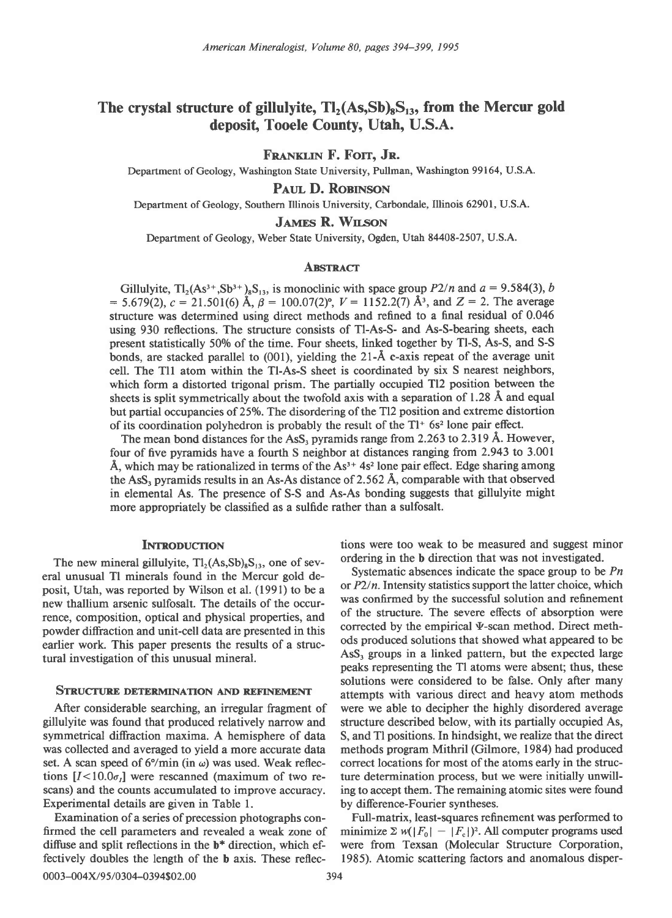# The crystal structure of gillulyite,  $Tl_2(As, Sb)_sS_{13}$ , from the Mercur gold deposit, Tooele County, Utah, U.S.A.

FRANKLIN F. FOIT, JR.

Department of Geology, Washington State University, Pullman, Washington 99164, U.S.A.

# PAUL D. ROBINSON

Department of Geology, Southern Illinois University, Carbondale, Illinois 62901, U.S.A.

# JAMES R. WILSON

Department of Geology, Weber State University, Ogden, Utah 84408-2507, U.S.A.

## **ABSTRACT**

Gillulyite,  $Tl_2(As^{3+},Sb^{3+})_8S_{13}$ , is monoclinic with space group  $P2/n$  and  $a = 9.584(3)$ , b = 5.679(2),  $c = 21.501(6)$  Å,  $\beta = 100.07(2)$ °,  $V = 1152.2(7)$  Å<sup>3</sup>, and  $Z = 2$ . The average structure was determined using direct methods and reflned to a final residual of 0.046 using 930 reflections. The structure consists of Tl-As-S- and As-S-bearing sheets, each present statistically 500/o of the time. Four sheets, linked together by Tl-S, As-S, and S-S bonds, are stacked parallel to  $(001)$ , yielding the 21- $\AA$  c-axis repeat of the average unit cell. The Tll atom within the Tl-As-S sheet is coordinated by six S nearest neighbors, which form a distorted trigonal prism. The partially occupied Tl2 position between the sheets is split symmetrically about the twofold axis with a separation of 1.28 A and equal but partial occupancies of 25%. The disordering of the Tl2 position and extreme distortion of its coordination polyhedron is probably the result of the  $Tl^+$  6s<sup>2</sup> lone pair effect.

The mean bond distances for the  $\text{AsS}_3$  pyramids range from 2.263 to 2.319 Å. However, four of five pyramids have a fourth S neighbor at distances ranging from 2.943 to 3.001 Å, which may be rationalized in terms of the  $As^{3+}$  4s<sup>2</sup> lone pair effect. Edge sharing among the AsS, pyramids results in an As-As distance of 2.562 A, comparable with that observed in elemental As. The presence of S-S and As-As bonding suggests that gillulyite might more appropriately be classified as a sulfide rather than a sulfosalt.

The new mineral gillulyite,  $T_2(As, Sb)_{s}S_{13}$ , one of sev-<br>ordering in the b direction that was not investigated.<br>Systematic absences indicate the space group to be Pn eral unusual Tl minerals found in the Mercur gold deposit, Utah, was reported by Wilson et al. (1991) to be a or  $P2/n$ . Intensity statistics support the latter choice, which new thallium arsenic sulfosalt. The details of the occur-<br>range composition onticel and physical properties and of the structure. The severe effects of absorption were rence, composition, optical and physical properties, and <sup>of the</sup> structure. The severe effects of absorption were<br>noveled diffraction and unit cell data are presented in this corrected by the empirical V-scan method. Dire powder diffraction and unit-cell data are presented in this corrected by the empirical v-scan method. Direct method<br>earlier work. This paper presents the results of a struce ods produced solutions that showed what appeared earlier work. This paper presents the results of a struc-

gillulyite was found that produced relatively narrow and structure described below, with its partially occupied As, symmetrical diffraction maxima. A hemisphere of data S, and Tl positions. In hindsight, we realize that the direct was collected and averaged to yield a more accurate data methods program Mithril (Gilmore, 1984) had produced set. A scan speed of  $6^{\circ}/\text{min}$  (in  $\omega$ ) was used. Weak reflec- correct locations for most of the atoms early in the structions  $[I<10.0\sigma_I]$  were rescanned (maximum of two re- ture determination process, but we were initially unwillscans) and the counts accumulated to improve accuracy. ing to accept them. The remaining atomic sites were found Experimental details are given in Table 1. by difference-Fourier syntheses.

firmed the cell parameters and revealed a weak zone of minimize  $\sum w(|F_0| - |F_c|)^2$ . All computer programs used diffuse and split reflections in the  $b^*$  direction, which ef- were from Texsan (Molecular Structure Corporation, fectively doubles the length of the b axis. These reflec- 1985). Atomic scattering factors and anomalous disper-

INTRODUCTION tions were too weak to be measured and suggest minor

tural investigation of this unusual mineral. AsS, groups in a linked pattern, but the expected large peaks representing the Tl atoms were absent; thus, these solutions were considered to be false. Only after many<br>STRUCTURE DETERMINATION AND REFINEMENT attempts with various direct and heavy atom methods After considerable searching, an irregular fragment of were we able to decipher the highly disordered average

Examination of a series of precession photographs con- Full-matrix, least-squares refinement was performed to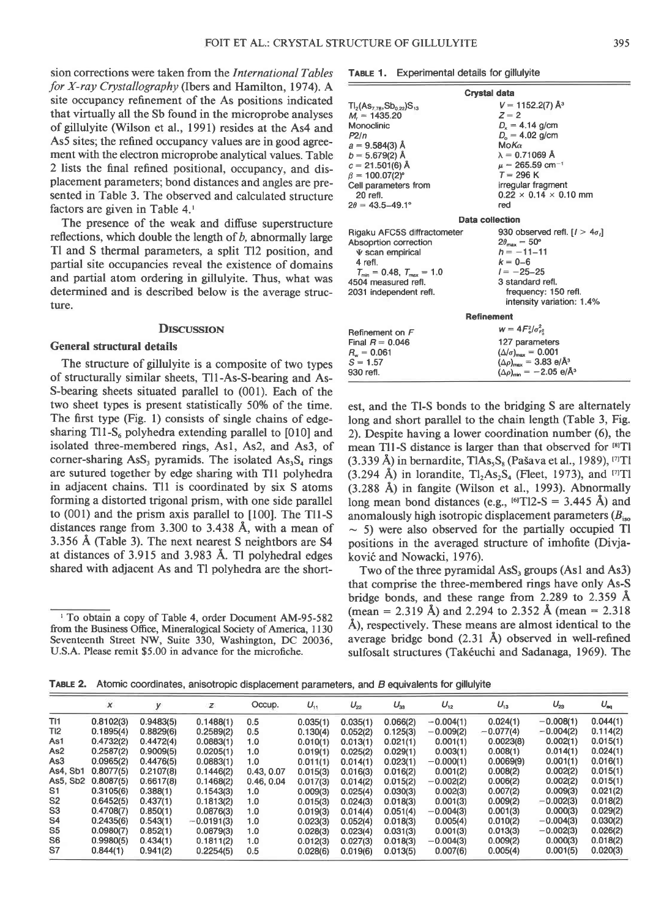sion corrections were taken from the International Tables for X-ray Crystallography (Ibers and Hamilton, 1974). A site occupancy refinement of the As positions indicated that virtually all the Sb found in the microprobe analyses of gillulyite (Wilson et al., l99l) resides at the As4 and As5 sites; the refined occupancy values are in good agreement with the electron microprobe analytical values. Table 2 lists the final refined positional, occupancy, and displacement parameters; bond distances and angles are presented in Table 3. The observed and calculated structure factors are given in Table 4.'

The presence of the weak and diffuse superstructure reflections, which double the length of  $b$ , abnormally large Tl and S thermal parameters, a split Tl2 position, and partial site occupancies reveal the existence of domains and partial atom ordering in gillulyite. Thus, what was determined and is described below is the average structure.

# **DISCUSSION**

# General structural details

The structure of gillulyite is a composite of two types of structurally similar sheets, Tll-As-S-bearing and As-S-bearing sheets situated parallel to (001). Each of the two sheet types is present statistically 50% of the time. The first type (Fig. l) consists of single chains of edgesharing Tl1-S<sub>6</sub> polyhedra extending parallel to  $[010]$  and isolated three-membered rings, Asl, As2, and As3, of corner-sharing  $\text{AsS}_3$  pyramids. The isolated  $\text{As}_3\text{S}_4$  rings are sutured together by edge sharing with Tll polyhedra in adjacent chains. Tll is coordinated by six S atoms forming a distorted trigonal prism, with one side parallel to (001) and the prism axis parallel to [100]. The Tll-S distances range from 3.300 to 3.438 A, with a mean of 3.356 A (Table 3). The next nearest S neightbors are 54 at distances of 3.915 and 3.983 A. Tl polyhedral edges shared with adjacent As and Tl polyhedra are the short-

TABLE 1. Experimental details for gillulyite

| Crystal data                                                                                                                                                                                                                                  |                                                                                                                                                                                                                                                               |  |  |  |  |  |  |  |
|-----------------------------------------------------------------------------------------------------------------------------------------------------------------------------------------------------------------------------------------------|---------------------------------------------------------------------------------------------------------------------------------------------------------------------------------------------------------------------------------------------------------------|--|--|--|--|--|--|--|
| $TI_2(As_{7.78},Sb_{0.22})S_{13}$<br>$M_r = 1435.20$<br>Monoclinic<br>P2/n<br>$a = 9.584(3)$ Å<br>$b = 5.679(2)$ Å<br>$c = 21.501(6)$ Å<br>$\beta = 100.07(2)^{\circ}$<br>Cell parameters from<br>20 refl.<br>$2\theta = 43.5 - 49.1^{\circ}$ | $V = 1152.2(7)$ Å <sup>3</sup><br>$Z = 2$<br>$D_r = 4.14$ g/cm<br>$D_{0} = 4.02$ g/cm<br>$M_0K_{\alpha}$<br>$\lambda = 0.71069 \text{ Å}$<br>$\mu = 265.59$ cm <sup>-1</sup><br>$T = 296 K$<br>irregular fragment<br>$0.22 \times 0.14 \times 0.10$ mm<br>red |  |  |  |  |  |  |  |
| Data collection                                                                                                                                                                                                                               |                                                                                                                                                                                                                                                               |  |  |  |  |  |  |  |
| Rigaku AFC5S diffractometer<br>Absoprtion correction<br>$\Psi$ scan empirical<br>4 refl.<br>$T_{\text{min}} = 0.48$ , $T_{\text{max}} = 1.0$<br>4504 measured refl.<br>2031 independent refl.                                                 | 930 observed refl. $[1 > 4\sigma_i]$<br>$2\theta_{\text{max}}=50^{\circ}$<br>$h = -11 - 11$<br>$k = 0 - 6$<br>$1 = -25 - 25$<br>3 standard refl.<br>frequency: 150 refl.<br>intensity variation: 1.4%                                                         |  |  |  |  |  |  |  |
| <b>Refinement</b>                                                                                                                                                                                                                             |                                                                                                                                                                                                                                                               |  |  |  |  |  |  |  |
| Refinement on $F$<br>Final $R = 0.046$<br>$R_{w} = 0.061$<br>$S = 1.57$<br>930 refl.                                                                                                                                                          | $w = 4F_0^2/\sigma_{F_0^2}^2$<br>127 parameters<br>$(\Delta/\sigma)_{\text{max}} = 0.001$<br>$(\Delta \rho)_{\text{max}} = 3.83 \text{ e}/\text{\AA}^3$<br>$(\Delta \rho)_{\rm min} = -2.05 \text{ e}/\text{\AA}^3$                                           |  |  |  |  |  |  |  |

est, and the Tl-S bonds to the bridging S are alternately long and short parallel to the chain length (Table 3, Fig. 2). Despite having a lower coordination number (6), the mean Tl1-S distance is larger than that observed for <sup>[8]</sup>Tl (3.339 Å) in bernardite, TlAs, $S_8$  (Pašava et al., 1989), <sup>[7]</sup>Tl  $(3.294 \text{ Å})$  in lorandite, Tl<sub>2</sub>As<sub>2</sub>S<sub>4</sub> (Fleet, 1973), and <sup>[7]</sup>Tl (3.288 A) in fangite (Wilson et al., 1993). Abnormally long mean bond distances (e.g.,  $^{[6]}T12-S = 3.445$  Å) and anomalously high isotropic displacement parameters  $(B_{\text{iso}})$  $\sim$  5) were also observed for the partially occupied Tl positions in the averaged structure of imhofite (Divjakovi6 and Nowacki, 1976).

Two of the three pyramidal AsS, groups (Asl and As3) that comprise the three-membered rings have only As-S bridge bonds, and these range from  $2.289$  to  $2.359$  Å (mean = 2.319 Å) and 2.294 to 2.352 Å (mean = 2.318) A), respectively. These means are almost identical to the average bridge bond (2.31 A) observed in well-refined sulfosalt structures (Takéuchi and Sadanaga, 1969). The

TABLE 2. Atomic coordinates, anisotropic displacement parameters, and B equivalents for gillulyite

|                 | $\boldsymbol{\chi}$ |           | z            | Occup.     | $U_{11}$ | $U_{22}$ | $U_{33}$ | $U_{12}$    | $U_{13}$    | $U_{23}$    | $U_{\text{eq}}$ |
|-----------------|---------------------|-----------|--------------|------------|----------|----------|----------|-------------|-------------|-------------|-----------------|
| T11             | 0.8102(3)           | 0.9483(5) | 0.1488(1)    | 0.5        | 0.035(1) | 0.035(1) | 0.066(2) | $-0.004(1)$ | 0.024(1)    | $-0.008(1)$ | 0.044(1)        |
| T <sub>12</sub> | 0.1895(4)           | 0.8829(6) | 0.2589(2)    | 0.5        | 0.130(4) | 0.052(2) | 0.125(3) | $-0.009(2)$ | $-0.077(4)$ | $-0.004(2)$ | 0.114(2)        |
| As1             | 0.4732(2)           | 0.4472(4) | 0.0883(1)    | 1.0        | 0.010(1) | 0.013(1) | 0.021(1) | 0.001(1)    | 0.0023(8)   | 0.002(1)    | 0.015(1)        |
| As2             | 0.2587(2)           | 0.9009(5) | 0.0205(1)    | 1.0        | 0.019(1) | 0.025(2) | 0.029(1) | 0.003(1)    | 0.008(1)    | 0.014(1)    | 0.024(1)        |
| As3             | 0.0965(2)           | 0.4476(5) | 0.0883(1)    | 1.0        | 0.011(1) | 0.014(1) | 0.023(1) | $-0.000(1)$ | 0.0069(9)   | 0.001(1)    | 0.016(1)        |
| As4, Sb1        | 0.8077(5)           | 0.2107(8) | 0.1446(2)    | 0.43.0.07  | 0.015(3) | 0.016(3) | 0.016(2) | 0.001(2)    | 0.008(2)    | 0.002(2)    | 0.015(1)        |
| As5, Sb2        | 0.8087(5)           | 0.6617(8) | 0.1468(2)    | 0.46, 0.04 | 0.017(3) | 0.014(2) | 0.015(2) | $-0.002(2)$ | 0.006(2)    | 0.002(2)    | 0.015(1)        |
| S <sub>1</sub>  | 0.3105(6)           | 0.388(1)  | 0.1543(3)    | 1.0        | 0.009(3) | 0.025(4) | 0.030(3) | 0.002(3)    | 0.007(2)    | 0.009(3)    | 0.021(2)        |
| S <sub>2</sub>  | 0.6452(5)           | 0.437(1)  | 0.1813(2)    | 1.0        | 0.015(3) | 0.024(3) | 0.018(3) | 0.001(3)    | 0.009(2)    | $-0.002(3)$ | 0.018(2)        |
| S <sub>3</sub>  | 0.4708(7)           | 0.850(1)  | 0.0876(3)    | 1.0        | 0.019(3) | 0.014(4) | 0.051(4) | $-0.004(3)$ | 0.001(3)    | 0.000(3)    | 0.029(2)        |
| S <sub>4</sub>  | 0.2435(6)           | 0.543(1)  | $-0.0191(3)$ | 1.0        | 0.023(3) | 0.052(4) | 0.018(3) | 0.005(4)    | 0.010(2)    | $-0.004(3)$ | 0.030(2)        |
| S <sub>5</sub>  | 0.0980(7)           | 0.852(1)  | 0.0879(3)    | 1.0        | 0.028(3) | 0.023(4) | 0.031(3) | 0.001(3)    | 0.013(3)    | $-0.002(3)$ | 0.026(2)        |
| S <sub>6</sub>  | 0.9980(5)           | 0.434(1)  | 0.1811(2)    | 1.0        | 0.012(3) | 0.027(3) | 0.018(3) | $-0.004(3)$ | 0.009(2)    | 0.000(3)    | 0.018(2)        |
| S7              | 0.844(1)            | 0.941(2)  | 0.2254(5)    | 0.5        | 0.028(6) | 0.019(6) | 0.013(5) | 0.007(6)    | 0.005(4)    | 0.001(5)    | 0.020(3)        |

<sup>&#</sup>x27; To obtain a copy of Table 4, order Document AM-95-582 fiom the Business Office, Mineralogical Society of America, I130 Seventeenth Street NW, Suite 330, Washington, DC 20036, U.S.A. Please remit \$5.00 in advance for the microfiche.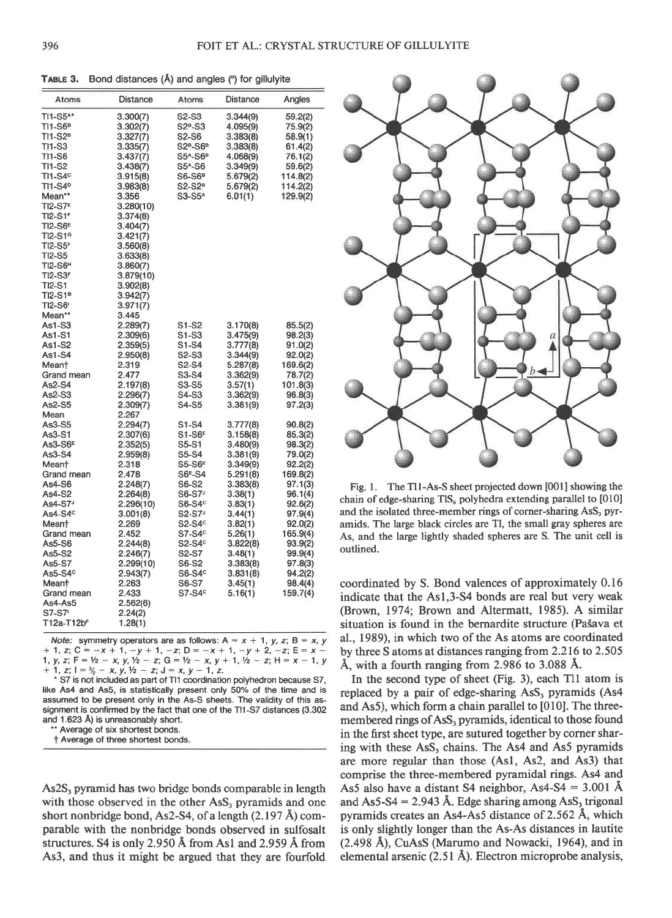TABLE 3. Bond distances (Å) and angles (°) for gillulyite

| Atoms                  | Distance  | Atoms                          | Distance | Angles   |
|------------------------|-----------|--------------------------------|----------|----------|
| TI1-S5^*               | 3.300(7)  | S2-S3                          | 3.344(9) | 59.2(2)  |
| TI1-S6ª                | 3.302(7)  | S2ª-S3                         | 4.095(9) | 75.9(2)  |
| TI1-S2ª                | 3.327(7)  | S2-S6                          | 3.383(8) | 58.9(1)  |
| TI1-S3                 | 3.335(7)  | $S2B-S6B$                      | 3.383(8) | 61.4(2)  |
| TI1-S6                 | 3.437(7)  | S5^-S6 <sup>B</sup>            | 4.068(9) | 76.1(2)  |
| TI1-S2                 | 3.438(7)  | S5^-S6                         | 3.349(9) | 59.6(2)  |
| $TI1-S4c$              | 3.915(8)  | $S6-S6B$                       | 5.679(2) | 114.8(2) |
| TI1-S4 <sup>o</sup>    | 3.983(8)  | S2-S2 <sup>B</sup>             | 5.679(2) | 114.2(2) |
| Mean**                 | 3.356     | S3-S5 <sup>A</sup>             | 6.01(1)  | 129.9(2) |
| T12-S7 <sup>e</sup>    | 3.280(10) |                                |          |          |
| T12-S1 <sup>F</sup>    | 3.374(8)  |                                |          |          |
| TI2-S6 <sup>e</sup>    | 3.404(7)  |                                |          |          |
| T12-S1ª                | 3.421(7)  |                                |          |          |
| $TI2-S5F$              | 3.560(8)  |                                |          |          |
| <b>TI2-S5</b>          | 3.633(8)  |                                |          |          |
| T12-S6 <sup>H</sup>    | 3.860(7)  |                                |          |          |
| TI2-S3 <sup>F</sup>    | 3.879(10) |                                |          |          |
| TI2-S1                 | 3.902(8)  |                                |          |          |
| T12-S1ª                | 3.942(7)  |                                |          |          |
| TI2-S6'                | 3.971(7)  |                                |          |          |
| Mean**                 | 3.445     |                                |          |          |
| As1-S3                 | 2.289(7)  | S1-S2                          | 3.170(8) | 85.5(2)  |
| As1-S1                 | 2.309(6)  | S1-S3                          | 3.475(9) | 98.2(3)  |
| As1-S2                 | 2.359(5)  | S1-S4                          | 3.777(8) | 91.0(2)  |
| As1-S4                 | 2.950(8)  | S <sub>2</sub> -S <sub>3</sub> | 3.344(9) | 92.0(2)  |
| Mean†                  | 2.319     | S <sub>2</sub> -S <sub>4</sub> | 5.287(8) | 169.6(2) |
| Grand mean             | 2.477     | S3-S4                          | 3.362(9) | 78.7(2)  |
| As2-S4                 | 2.197(8)  | S3-S5                          | 3.57(1)  | 101.8(3) |
| As2-S3                 | 2.296(7)  | S4-S3                          | 3.362(9) | 96.8(3)  |
| As2-S5                 | 2.309(7)  | S4-S5                          | 3.381(9) | 97.2(3)  |
| Mean                   | 2.267     |                                |          |          |
| As3-S5                 | 2.294(7)  | S1-S4                          | 3.777(8) | 90.8(2)  |
| As3-S1                 | 2.307(6)  | $S1-S6E$                       | 3.158(8) | 85.3(2)  |
| As3-S6 <sup>E</sup>    | 2.352(5)  | S5-S1                          | 3.480(9) | 98.3(2)  |
| As3-S4                 | 2.959(8)  | S5-S4                          | 3.381(9) | 79.0(2)  |
| Mean†                  | 2.318     | <b>S5-S6E</b>                  | 3.349(9) | 92.2(2)  |
| Grand mean             | 2.478     | S6 <sup>E</sup> -S4            | 5.291(8) | 169.8(2) |
| As4-S6                 | 2.248(7)  | S6-S2                          | 3.383(8) | 97.1(3)  |
| As4-S2                 | 2.264(8)  | S6-S7 <sup>J</sup>             | 3.38(1)  | 96.1(4)  |
| As4-S7 <sup>J</sup>    | 2.296(10) | $S6-S4c$                       | 3.83(1)  | 92.6(2)  |
| As4-S4 <sup>c</sup>    | 3.001(8)  | S2-S7 <sup>3</sup>             | 3.44(1)  | 97.9(4)  |
| Mean†                  | 2.269     | $S2-S4^\circ$                  | 3.82(1)  | 92.0(2)  |
| Grand mean             | 2.452     | $S7-S4c$                       | 5.26(1)  | 165.9(4) |
| As5-S6                 | 2.244(8)  | $S2-S4c$                       | 3.822(8) | 93.9(2)  |
| As5-S2                 | 2.246(7)  | S2-S7                          | 3.48(1)  | 99.9(4)  |
| As5-S7                 | 2.299(10) | S6-S2                          | 3.383(8) | 97.8(3)  |
| As5-S4°                | 2.943(7)  | S6-S4 <sup>c</sup>             | 3.831(8) | 94.2(2)  |
| Meant                  | 2.263     | S6-S7                          | 3.45(1)  | 98.4(4)  |
| Grand mean             | 2.433     | $S7-S4c$                       | 5.16(1)  | 159.7(4) |
| As4-As5                | 2.562(6)  |                                |          |          |
| S7-S7                  | 2.24(2)   |                                |          |          |
| T12a-T12b <sup>F</sup> | 1.28(1)   |                                |          |          |

Note: symmetry operators are as follows:  $A = x + 1$ ,  $y$ ,  $z$ ;  $B = x$ ,  $y$ + 1, z; C = -x + 1, -y + 1, -z; D = -x + 1, -y + 2, -z; E = x -<br>1, y, z; F = ½ - x, y, ½ - z; G = ½ - x, y + 1, ½ - z; H = x - 1, y<br>+ 1, z; l =  $\frac{3}{2}$  - x, y, ½ - z; J = x, y - 1, z.

S7 is not included as part of T11 coordination polyhedron because S7, like As4 and As5, is statistically present only 50% of the time and is assumed to be present only in the As-S sheets. The validity of this assignment is confirmed by the fact that one of the TI1-S7 distances (3.302 and 1.623 Å) is unreasonably short.

' Average of six shortest bonds.

† Average of three shortest bonds.

As2S<sub>3</sub> pyramid has two bridge bonds comparable in length with those observed in the other AsS, pyramids and one short nonbridge bond, As2-S4, of a length (2.197 Å) comparable with the nonbridge bonds observed in sulfosalt structures. S4 is only 2.950 Å from As1 and 2.959 Å from As3, and thus it might be argued that they are fourfold



Fig. 1. The T11-As-S sheet projected down [001] showing the chain of edge-sharing  $TIS_6$  polyhedra extending parallel to [010] and the isolated three-member rings of corner-sharing AsS, pyramids. The large black circles are Tl, the small gray spheres are As, and the large lightly shaded spheres are S. The unit cell is outlined.

coordinated by S. Bond valences of approximately 0.16 indicate that the As1,3-S4 bonds are real but very weak (Brown, 1974; Brown and Altermatt, 1985). A similar situation is found in the bernardite structure (Pašava et al., 1989), in which two of the As atoms are coordinated by three S atoms at distances ranging from 2.216 to 2.505 Å, with a fourth ranging from 2.986 to 3.088 Å.

In the second type of sheet (Fig. 3), each Tl1 atom is replaced by a pair of edge-sharing AsS<sub>3</sub> pyramids (As4 and As5), which form a chain parallel to [010]. The threemembered rings of AsS<sub>3</sub> pyramids, identical to those found in the first sheet type, are sutured together by corner sharing with these AsS<sub>3</sub> chains. The As4 and As5 pyramids are more regular than those (As1, As2, and As3) that comprise the three-membered pyramidal rings. As4 and As5 also have a distant S4 neighbor, As4-S4 =  $3.001$  Å and As5-S4 = 2.943 Å. Edge sharing among AsS<sub>3</sub> trigonal pyramids creates an As4-As5 distance of 2.562 Å, which is only slightly longer than the As-As distances in lautite (2.498 Å), CuAsS (Marumo and Nowacki, 1964), and in elemental arsenic (2.51 Å). Electron microprobe analysis,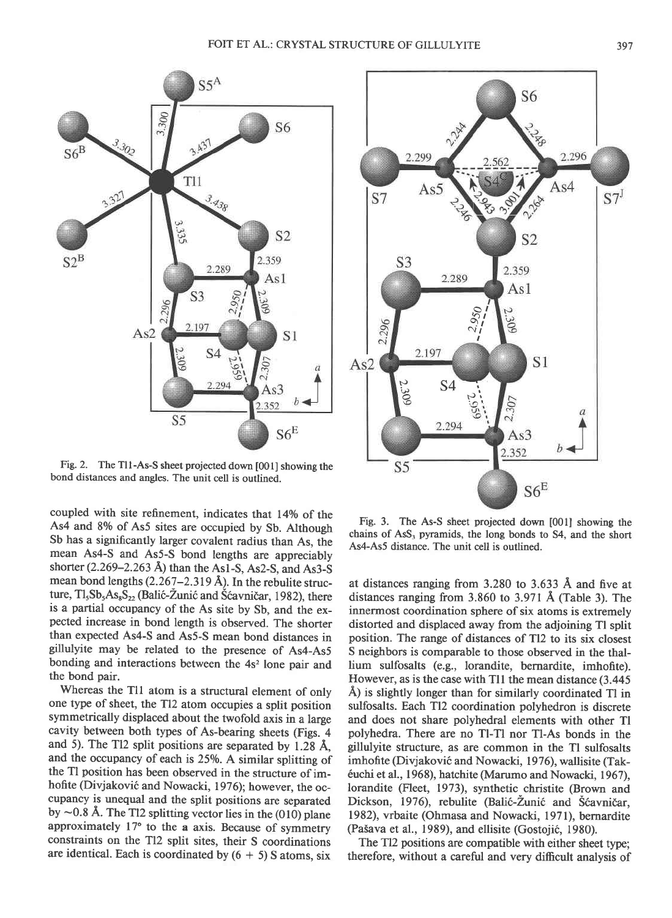

Fig.2. The Tll-As-S sheet projected down [001] showing the bond distances and angles. The unit cell is outlined.

coupled with site refinement, indicates that 14% of the As4 and 8% of As5 sites are occupied by Sb. Although Sb has a significantly larger covalent radius than As, the mean As4-S and As5-S bond lengths are appreciably shorter  $(2.269 - 2.263 \text{ Å})$  than the As1-S, As2-S, and As3-S mean bond lengths  $(2.267 - 2.319 \text{ Å})$ . In the rebulite structure,  $Tl_5Sb_5As_8S_{22}$  (Balić-Žunić and Šćavničar, 1982), there is a partial occupancy of the As site by Sb, and the expected increase in bond length is observed. The shorter than expected As4-S and As5-S mean bond distances in gillulyite may be related to the presence of As4-As5 bonding and interactions between the 4s<sup>2</sup> lone pair and the bond pair.

Whereas the Tll atom is a structural element of only one type of sheet, the Tl2 atom occupies a split position symmetrically displaced about the twofold axis in a large cavity between both types of As-bearing sheets (Figs. 4 and 5). The Tl2 split positions are separated by  $1.28$  Å, and the occupancy of each is 25%. A similar splitting of the Tl position has been observed in the structure of imhofite (Divjaković and Nowacki, 1976); however, the occupancy is unequal and the split positions are separated by  $\sim$  0.8 Å. The Tl2 splitting vector lies in the (010) plane approximately 17° to the a axis. Because of symmetry constraints on the Tl2 split sites, their S coordinations are identical. Each is coordinated by  $(6 + 5)$  S atoms, six



Fig. 3. The As-S sheet projected down [001] showing the chains of AsS, pyramids, the long bonds to 54, and the short As4-As5 distance. The unit cell is outlined.

at distances ranging from 3.280 to 3.633 A and five at distances ranging from  $3.860$  to  $3.971$  Å (Table 3). The innermost coordination sphere of six atoms is extremely distorted and displaced away from the adjoining Tl split position. The range of distances of Tl2 to its six closest S neighbors is comparable to those observed in the thallium sulfosalts (e.g., lorandite, bernardite, imhofite). flowever, as is the case with Tll the mean distance (3.445 A) is slightly longer than for similarly coordinated Tl in sulfosalts. Each Tl2 coordination polyhedron is discrete and does not share polyhedral elements with other Tl polyhedra. There are no Tl-Tl nor Tl-As bonds in the gillulyite structure, as are common in the Tl sulfosalts imhofite (Divjakovi6 and Nowacki, 1976), wallisite (Takéuchi et al., 1968), hatchite (Marumo and Nowacki, 1967), lorandite (Fleet, 1973), synthetic christite (Brown and Dickson, 1976), rebulite (Balić-Žunić and Šćavničar, 1982), vrbaite (Ohmasa and Nowacki, 1971), bernardite (Pasava et al., 1989), and ellisite (Gostoji6, 1980).

The Tl2 positions are compatible with either sheet type; therefore, without a careful and very difficult analysis of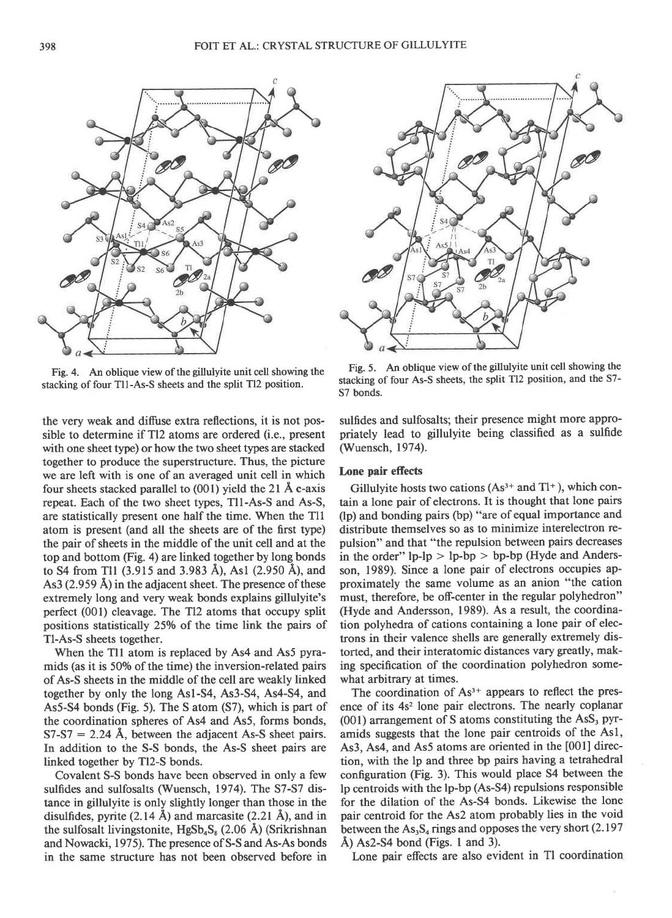

Fig.4. An oblique view of the gillulyite unit cell showing the stacking of four Tl1-As-S sheets and the split Tl2 position.

the very weak and diffuse extra reflections, it is not possible to determine if Tl2 atoms are ordered (i.e., present with one sheet type) or how the two sheet types are stacked together to produce the superstructure. Thus, the picture we are left with is one of an averaged unit cell in which four sheets stacked parallel to (001) yield the 2l A c-axis repeat. Each of the two sheet types, Tll-As-S and As-S, are statistically present one half the time. When the Tll atom is present (and all the sheets are of the first type) the pair of sheets in the middle of the unit cell and at the top and bottom (Fig. a) are linked together by long bonds to S4 from Tl1 (3.915 and 3.983 Å), As1 (2.950 Å), and As3  $(2.959 \text{ Å})$  in the adjacent sheet. The presence of these extremely long and very weak bonds explains gillulyite's perfect (001) cleavage. The Tl2 atoms that occupy split positions statistically 25Vo of the time link the pairs of Tl-As-S sheets together.

When the Tll atom is replaced by As4 and As5 pyramids (as it is 50% of the time) the inversion-related pairs of As-S sheets in the middle of the cell are weakly linked together by only the long Asl-S4, As3-S4, As4-S4, and As5-S4 bonds (Fig. 5). The S atom (S7), which is part of the coordination spheres of As4 and As5, forms bonds,  $S7-S7 = 2.24$  Å, between the adjacent As-S sheet pairs. In addition to the S-S bonds, the As-S sheet pairs are linked together by Tl2-S bonds.

Covalent S-S bonds have been observed in only a few sulfides and sulfosalts (Wuensch, 1974). The S7-S7 distance in gillulyite is only slightly longer than those in the disulfides, pyrite  $(2.14 \text{ Å})$  and marcasite  $(2.21 \text{ Å})$ , and in the sulfosalt livingstonite,  $HgSb_4S_8$  (2.06 Å) (Srikrishnan and Nowacki, 1975). The presence of S-S and As-As bonds in the same structure has not been observed before in



Fig. 5. An oblique view of the gillulyite unit cell showing the stacking of four As-S sheets, the split Tl2 position, and the S7-57 bonds.

sulfides and sulfosalts; their presence might more appropriately lead to gillulyite being classified as a sulfide (Wuensch, 1974).

# Lone pair effects

Gillulyite hosts two cations  $(As<sup>3+</sup> and TI<sup>+</sup>)$ , which contain a lone pair of electrons. It is thought that lone pairs (lp) and bonding pairs (bp) "are of equal importance and distribute themselves so as to minimize interelectron repulsion" and that "the repulsion between pairs decreases in the order"  $lp-lp > lp-bp > bp-bp$  (Hyde and Andersson, 1989). Since a lone pair of electrons occupies approximately the same volume as an anion "the cation must, therefore, be off-center in the regular polyhedron" (Hyde and Andersson, 1989). As a result, the coordination polyhedra of cations containing a lone pair of electrons in their valence shells are generally extremely distorted, and their interatomic distances vary greatly, making specification of the coordination polyhedron somewhat arbitrary at times.

The coordination of  $As<sup>3+</sup>$  appears to reflect the presence of its 4s<sup>2</sup> lone pair electrons. The nearly coplanar (001) arrangement of S atoms constituting the AsS, pyramids suggests that the lone pair centroids of the Asl, As3, As4, and As5 atoms are oriented in the [001] direction, with the lp and three bp pairs having a tetrahedral configuration (Fig. 3). This would place 54 between the lp centroids with the lp-bp (As-S4) repulsions responsible for the dilation of the As-S4 bonds. Likewise the lone pair centroid for the As2 atom probably lies in the void between the  $\text{As}_3\text{S}_4$  rings and opposes the very short (2.197  $\AA$ ) As2-S4 bond (Figs. 1 and 3).

Lone pair effects are also evident in Tl coordination